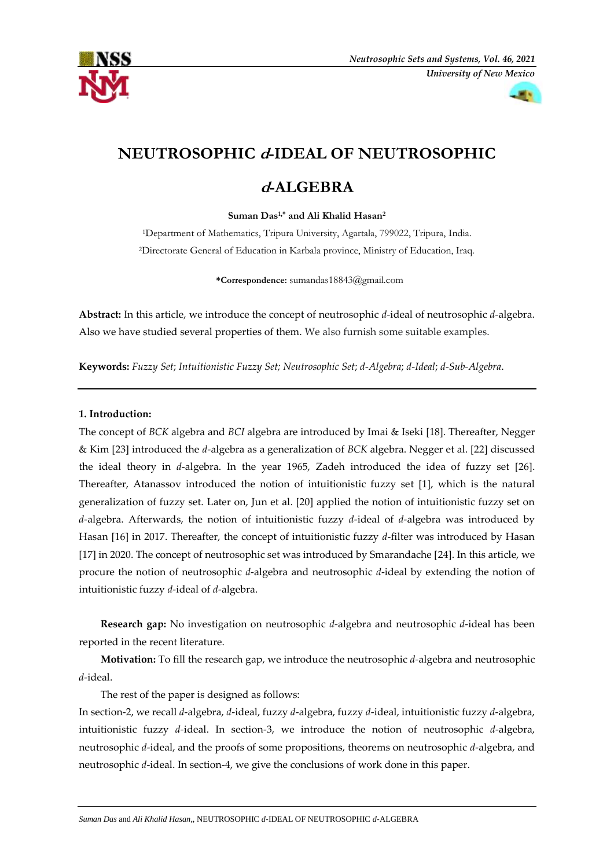



# **NEUTROSOPHIC d-IDEAL OF NEUTROSOPHIC**

## **<sup>d</sup>-ALGEBRA**

**Suman Das1,\* and Ali Khalid Hasan<sup>2</sup>**

<sup>1</sup>Department of Mathematics, Tripura University, Agartala, 799022, Tripura, India. <sup>2</sup>Directorate General of Education in Karbala province, Ministry of Education, Iraq.

**\*Correspondence:** [sumandas18843@gmail.com](mailto:sumandas18843@gmail.com)

**Abstract:** In this article, we introduce the concept of neutrosophic *d*-ideal of neutrosophic *d*-algebra. Also we have studied several properties of them. We also furnish some suitable examples.

**Keywords:** *Fuzzy Set*; *Intuitionistic Fuzzy Set; Neutrosophic Set*; *d*-*Algebra*; *d*-*Ideal*; *d*-*Sub-Algebra*.

## **1. Introduction:**

The concept of *BCK* algebra and *BCI* algebra are introduced by Imai & Iseki [18]. Thereafter, Negger & Kim [23] introduced the *d*-algebra as a generalization of *BCK* algebra. Negger et al. [22] discussed the ideal theory in *d*-algebra. In the year 1965, Zadeh introduced the idea of fuzzy set [26]. Thereafter, Atanassov introduced the notion of intuitionistic fuzzy set [1], which is the natural generalization of fuzzy set. Later on, Jun et al. [20] applied the notion of intuitionistic fuzzy set on *d*-algebra. Afterwards, the notion of intuitionistic fuzzy *d*-ideal of *d*-algebra was introduced by Hasan [16] in 2017. Thereafter, the concept of intuitionistic fuzzy *d*-filter was introduced by Hasan [17] in 2020. The concept of neutrosophic set was introduced by Smarandache [24]. In this article, we procure the notion of neutrosophic *d*-algebra and neutrosophic *d*-ideal by extending the notion of intuitionistic fuzzy *d*-ideal of *d*-algebra.

**Research gap:** No investigation on neutrosophic *d-*algebra and neutrosophic *d*-ideal has been reported in the recent literature.

**Motivation:** To fill the research gap, we introduce the neutrosophic *d-*algebra and neutrosophic *d*-ideal.

The rest of the paper is designed as follows:

In section-2, we recall *d*-algebra, *d*-ideal, fuzzy *d*-algebra, fuzzy *d*-ideal, intuitionistic fuzzy *d*-algebra, intuitionistic fuzzy *d-*ideal. In section-3, we introduce the notion of neutrosophic *d*-algebra, neutrosophic *d*-ideal, and the proofs of some propositions, theorems on neutrosophic *d*-algebra, and neutrosophic *d*-ideal. In section-4, we give the conclusions of work done in this paper.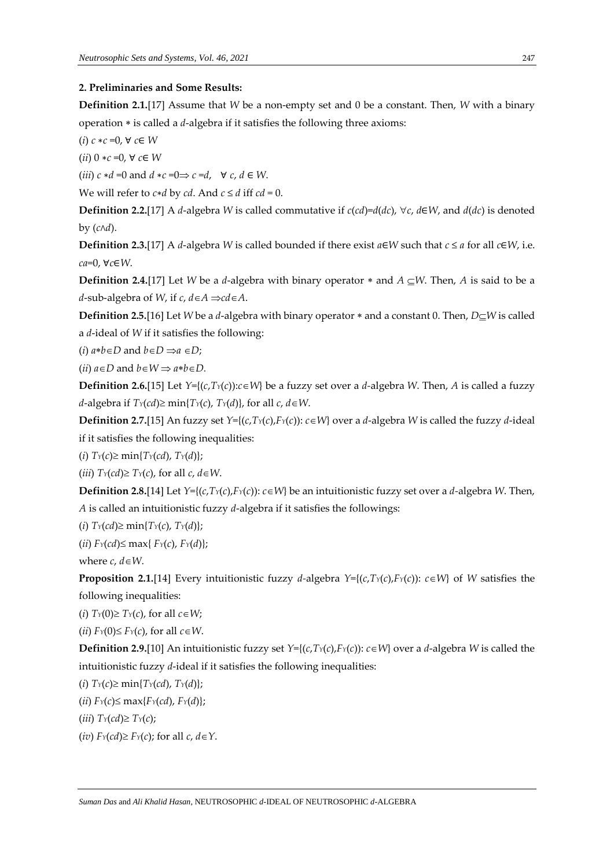#### **2. Preliminaries and Some Results:**

**Definition 2.1.**[17] Assume that *W* be a non-empty set and 0 be a constant. Then, *W* with a binary operation  $*$  is called a  $d$ -algebra if it satisfies the following three axioms:

(*i*) *c* ∗*c* =0, ∀ *c*∈ *W*

(*ii*) 0 ∗*c* =0, ∀ *c*∈ *W*

(*iii*)  $c * d = 0$  and  $d * c = 0 \Rightarrow c = d$ ,  $\forall c, d \in W$ .

We will refer to  $c * d$  by  $cd$ . And  $c \leq d$  iff  $cd = 0$ .

**Definition 2.2.**[17] A *d*-algebra *W* is called commutative if  $c(cd)=d(dc)$ ,  $\forall c, d \in W$ , and  $d(dc)$  is denoted by (*c*∧*d*).

**Definition 2.3.**[17] A *d*-algebra *W* is called bounded if there exist  $a \in W$  such that  $c \le a$  for all  $c \in W$ , i.e. *ca*=0, ∀*c*∈*W*.

**Definition 2.4.**[17] Let *W* be a *d*-algebra with binary operator  $*$  and  $A \subseteq W$ . Then, *A* is said to be a *d*-sub-algebra of *W*, if *c*,  $d \in A \implies d \in A$ .

**Definition 2.5.**[16] Let *W* be a *d*-algebra with binary operator  $*$  and a constant 0. Then, *D* $\subseteq$ *W* is called a *d*-ideal of *W* if it satisfies the following:

(*i*)  $a * b \in D$  and  $b \in D \implies a \in D$ ;

(*ii*)  $a \in D$  and  $b \in W \implies a * b \in D$ .

**Definition 2.6.**[15] Let  $Y = \{(c, T)(c): c \in W\}$  be a fuzzy set over a *d*-algebra *W*. Then, *A* is called a fuzzy *d*-algebra if  $T_Y(cd) \ge \min\{T_Y(c), T_Y(d)\}$ , for all  $c, d \in W$ .

**Definition 2.7.**[15] An fuzzy set *Y*={(*c*,*TY*(*c*),*FY*(*c*)): *cW*} over a *d*-algebra *W* is called the fuzzy *d*-ideal if it satisfies the following inequalities:

 $(i)$   $Tr(c) \geq min\{Tr(cd), Tr(d)\};$ 

(*iii*)  $T_Y(cd) \geq T_Y(c)$ , for all  $c, d \in W$ .

**Definition 2.8.**[14] Let  $Y = \{(c, T_Y(c), F_Y(c)) : c \in W\}$  be an intuitionistic fuzzy set over a *d*-algebra *W*. Then, *A* is called an intuitionistic fuzzy *d*-algebra if it satisfies the followings:

 $(i)$   $Tr(cd) \geq min\{Tr(c), Tr(d)\};$ 

 $(iii)$   $F_Y(cd) \leq max\{F_Y(c), F_Y(d)\};$ 

where  $c$ ,  $d \in W$ .

**Proposition 2.1.**[14] Every intuitionistic fuzzy *d*-algebra  $Y = \{(c, Ty(c), F_Y(c)) : c \in W\}$  of *W* satisfies the following inequalities:

(*i*)  $T_Y(0) \geq T_Y(c)$ , for all  $c \in W$ ;

(*ii*)  $F_Y(0) \leq F_Y(c)$ , for all  $c \in W$ .

**Definition 2.9.**[10] An intuitionistic fuzzy set  $Y = \{(c, T_Y(c), F_Y(c)) : c \in W\}$  over a *d*-algebra *W* is called the intuitionistic fuzzy *d*-ideal if it satisfies the following inequalities:

 $(i)$   $T_Y(c) \geq \min\{T_Y(cd), T_Y(d)\};$ 

 $(iii)$   $F_Y(c) \leq \max\{F_Y(cd), F_Y(d)\};$ 

 $(iii)$   $T_Y(cd) \geq T_Y(c)$ ;

(*iv*)  $F_Y(cd) \geq F_Y(c)$ ; for all  $c, d \in Y$ .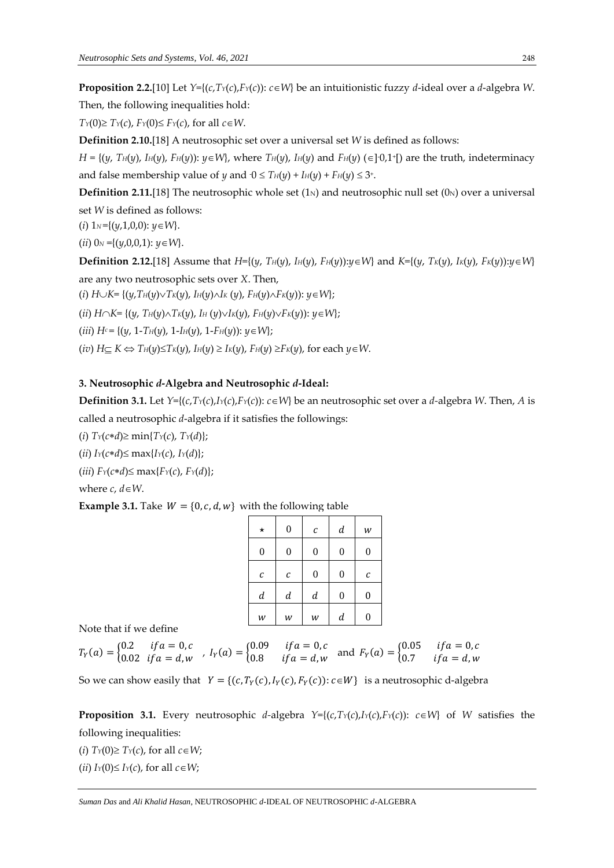**Proposition 2.2.**[10] Let  $Y = \{(c, Ty(c), F_Y(c)) : c \in W\}$  be an intuitionistic fuzzy *d*-ideal over a *d*-algebra *W*. Then, the following inequalities hold:

 $T_Y(0) \geq T_Y(c)$ ,  $F_Y(0) \leq F_Y(c)$ , for all  $c \in W$ .

**Definition 2.10.**[18] A neutrosophic set over a universal set *W* is defined as follows:

 $H = \{(y, T_H(y), I_H(y), F_H(y)) : y \in W\}$ , where  $T_H(y)$ ,  $I_H(y)$  and  $F_H(y)$  ( $\in$ ] $\cdot 0.1^{\cdot}$  are the truth, indeterminacy and false membership value of *y* and  $0 \leq T_H(y) + I_H(y) + F_H(y) \leq 3^*$ .

**Definition 2.11.**[18] The neutrosophic whole set  $(1<sub>N</sub>)$  and neutrosophic null set  $(0<sub>N</sub>)$  over a universal set *W* is defined as follows:

(*i*)  $1_N = \{(y, 1, 0, 0): y \in W\}.$ 

(*ii*)  $0_N = \{(y,0,0,1): y \in W\}.$ 

**Definition 2.12.**[18] Assume that  $H=\{(y, T_H(y), I_H(y), F_H(y)) : y \in W\}$  and  $K=\{(y, T_K(y), I_K(y), F_K(y)) : y \in W\}$ are any two neutrosophic sets over *X*. Then,

 $(i)$   $H \cup K = \{(y, T_H(y) \vee T_K(y), I_H(y) \wedge I_K(y), F_H(y) \wedge F_K(y)) : y \in W\};$ 

 $(iii)$   $H \cap K = \{(y, T_H(y) \land T_K(y), I_H(y) \lor I_K(y), F_H(y) \lor F_K(y))$ :  $y \in W\};$ 

 $(iii) H<sup>c</sup> = { (y, 1-T<sub>H</sub>(y), 1-I<sub>H</sub>(y), 1-F<sub>H</sub>(y)) : y \in W };$ 

 $(iv)$   $H \subset K \Leftrightarrow T_H(y) \leq T_K(y)$ ,  $I_H(y) \geq I_K(y)$ ,  $F_H(y) \geq F_K(y)$ , for each  $y \in W$ .

### **3. Neutrosophic** *d***-Algebra and Neutrosophic** *d***-Ideal:**

**Definition 3.1.** Let  $Y=\{(c,T)(c),I/(c),F/(c)\}\subset\mathbb{W}\}$  be an neutrosophic set over a *d*-algebra W. Then, *A* is called a neutrosophic *d*-algebra if it satisfies the followings:

 $(i)$   $T_Y(c*d) \geq \min\{T_Y(c), T_Y(d)\};$ 

 $(iii) I_Y(c*d) \leq max{I_Y(c), I_Y(d)};$ 

 $(iii)$   $F_Y(c*d) \leq \max\{F_Y(c), F_Y(d)\};$ 

where  $c$ ,  $d \in W$ .

**Example 3.1.** Take  $W = \{0, c, d, w\}$  with the following table

| $\star$          | $\boldsymbol{0}$ | $\mathcal C$     | $\boldsymbol{d}$ | W                |
|------------------|------------------|------------------|------------------|------------------|
| $\boldsymbol{0}$ | 0                | 0                | 0                | $\boldsymbol{0}$ |
| С                | с                | 0                | 0                | С                |
| $\boldsymbol{d}$ | $\boldsymbol{d}$ | $\boldsymbol{d}$ | $\boldsymbol{0}$ | 0                |
| W                | w                | W                | $\boldsymbol{d}$ | $\overline{0}$   |

Note that if we define

 $T_Y(a) = \begin{cases} 0.2 & if a = 0, c \\ 0.02 & if a = d, w \end{cases}$ 0.2  $if a = 0, c$ <br>
0.02  $if a = d, w$ ,  $I_Y(a) = \begin{cases} 0.09 & if a = 0, c \\ 0.8 & if a = d, w \end{cases}$ 0.09  $if a = 0, c$  and  $F_Y(a) = \begin{cases} 0.05 & if a = 0, c \\ 0.7 & if a = d, w \end{cases}$ 0.7  $if a = d, w$ 

So we can show easily that  $Y = \{(c, T_Y(c), I_Y(c), F_Y(c)) : c \in W\}$  is a neutrosophic d-algebra

**Proposition 3.1.** Every neutrosophic *d*-algebra  $Y=(c,T<sub>Y</sub>(c),I<sub>Y</sub>(c))$ :  $c \in W$ } of *W* satisfies the following inequalities:

(*i*)  $T_Y(0) \geq T_Y(c)$ , for all  $c \in W$ ;

(*ii*)  $I_Y(0) \leq I_Y(c)$ , for all  $c \in W$ ;

*Suman Das* and *Ali Khalid Hasan*, NEUTROSOPHIC *d*-IDEAL OF NEUTROSOPHIC *d*-ALGEBRA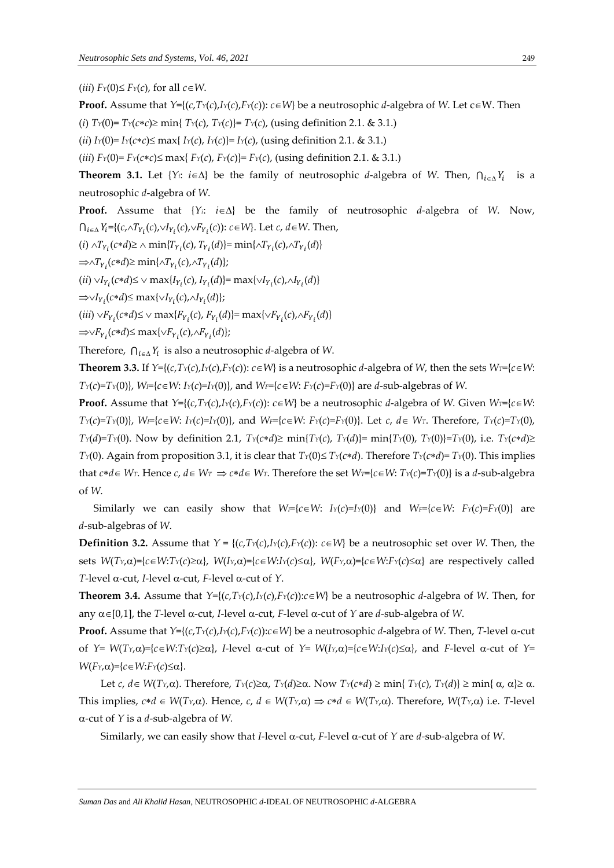$(iii)$   $F_Y(0) \leq F_Y(c)$ , for all  $c \in W$ .

**Proof.** Assume that  $Y = \{(c, Tx(c), I_Y(c), F_Y(c)) : c \in W\}$  be a neutrosophic *d*-algebra of *W*. Let  $c \in W$ . Then

(*i*)  $T_Y(0) = T_Y(c*c) \ge \min\{T_Y(c), T_Y(c)\} = T_Y(c)$ , (using definition 2.1. & 3.1.)

 $(iii) I_Y(0) = I_Y(c*c) \le \max\{I_Y(c), I_Y(c)\} = I_Y(c)$ , (using definition 2.1. & 3.1.)

 $(iii)$   $F_Y(0) = F_Y(c*c) \le \max\{F_Y(c), F_Y(c)\} = F_Y(c)$ , (using definition 2.1. & 3.1.)

**Theorem 3.1.** Let  $\{Y_i: i \in \Delta\}$  be the family of neutrosophic *d*-algebra of *W*. Then,  $\bigcap_{i \in \Delta} Y_i$  is a neutrosophic *d*-algebra of *W*.

**Proof.** Assume that  ${Y_i : i \in \Delta}$  be the family of neutrosophic *d*-algebra of *W*. Now,  $\bigcap_{i\in\Delta}Y_i=\{(c,\wedge T_{Y_i}(c),\vee I_{Y_i}(c),\vee F_{Y_i}(c))\colon c\in W\}$ . Let  $c, d\in W$ . Then,

 $(i) \wedge T_{Y_i}(c*d) \ge \wedge \min\{T_{Y_i}(c), T_{Y_i}(d)\} = \min\{\wedge T_{Y_i}(c), \wedge T_{Y_i}(d)\}$ 

 $\Rightarrow \wedge T_{Y_i}(c*d) \ge \min\{\wedge T_{Y_i}(c), \wedge T_{Y_i}(d)\};$ 

 $(iii) \vee I_{Y_i}(c*d) \le \vee \max\{I_{Y_i}(c), I_{Y_i}(d)\} = \max\{\vee I_{Y_i}(c), \wedge I_{Y_i}(d)\}$ 

 $\Rightarrow \lor I_{Y_i}(c*d) \le \max\{\lor I_{Y_i}(c), \land I_{Y_i}(d)\};$ 

 $(iii) \vee F_{Y_i}(c*d) \le \vee \max\{F_{Y_i}(c), F_{Y_i}(d)\} = \max\{\vee F_{Y_i}(c), \wedge F_{Y_i}(d)\}$ 

 $\Rightarrow \forall F_{Y_i}(c*d) \le \max\{\forall F_{Y_i}(c), \land F_{Y_i}(d)\};$ 

Therefore, ⋂ is also a neutrosophic *d*-algebra of *W*.

**Theorem 3.3.** If  $Y=\{(c,T_Y(c),I_Y(c),F_Y(c))\colon c\in W\}$  is a neutrosophic d-algebra of W, then the sets  $W_I=\{c\in W:$  $T_Y(c)=T_Y(0)$ ,  $W_F[c \in W: I_Y(c)=I_Y(0)]$ , and  $W_F=[c \in W: F_Y(c)=F_Y(0)]$  are d-sub-algebras of W.

**Proof.** Assume that  $Y=\{(c,T)(c),I/(c),F/(c)\}$ :  $c \in W$ } be a neutrosophic *d*-algebra of *W*. Given  $W_I=\{c \in W:$  $T_Y(c)=T_Y(0)$ ,  $W=\{c\in W: I_Y(c)=I_Y(0)\}\$ , and  $W_F=\{c\in W: F_Y(c)=F_Y(0)\}\$ . Let  $c, d\in W_T$ . Therefore,  $T_Y(c)=T_Y(0)$ ,  $T_Y(d)=T_Y(0)$ . Now by definition 2.1,  $T_Y(c*d) \ge \min\{T_Y(c), T_Y(d)\} = \min\{T_Y(0), T_Y(0)\} = T_Y(0)$ , i.e.  $T_Y(c*d) \ge$ *T*<sup>*Y*</sup>(0). Again from proposition 3.1, it is clear that *T*<sup>*Y*</sup>(0)≤ *T*<sup>*Y*</sup>(*c*<sup>\*</sup>*d*). Therefore *T*<sup>*Y*</sup>(*c*<sup>\*</sup>*d*)= *T*<sup>*Y*</sup>(0). This implies that  $c*d \in W_T$ . Hence c,  $d \in W_T \implies c*d \in W_T$ . Therefore the set  $W_T = \{c \in W : T_Y(c) = T_Y(0)\}$  is a d-sub-algebra of *W*.

Similarly we can easily show that  $W = \{c \in W: I_Y(c) = I_Y(0)\}$  and  $W = \{c \in W: F_Y(c) = F_Y(0)\}$  are *d*-sub-algebras of *W*.

**Definition 3.2.** Assume that  $Y = \{(c, T_Y(c), I_Y(c), F_Y(c)) : c \in W\}$  be a neutrosophic set over *W*. Then, the sets  $W(T_Y, \alpha) = \{c \in W : T_Y(c) \ge \alpha\}$ ,  $W(I_Y, \alpha) = \{c \in W : I_Y(c) \le \alpha\}$ ,  $W(F_Y, \alpha) = \{c \in W : F_Y(c) \le \alpha\}$  are respectively called  $T$ -level  $\alpha$ -cut, *I*-level  $\alpha$ -cut, *F*-level  $\alpha$ -cut of  $Y$ .

**Theorem 3.4.** Assume that  $Y = \{(c, T_Y(c), I_Y(c), F_Y(c)) : c \in W\}$  be a neutrosophic *d*-algebra of *W*. Then, for any  $\alpha \in [0,1]$ , the *T*-level  $\alpha$ -cut, *I*-level  $\alpha$ -cut, *F*-level  $\alpha$ -cut of *Y* are *d*-sub-algebra of *W*.

**Proof.** Assume that  $Y=\{(c,T\gamma(c), I\gamma(c)) : c \in W\}$  be a neutrosophic *d*-algebra of *W*. Then, *T*-level  $\alpha$ -cut of  $Y = W(T_Y, \alpha) = \{c \in W : T_Y(c) \ge \alpha\}$ , I-level  $\alpha$ -cut of  $Y = W(I_Y, \alpha) = \{c \in W : I_Y(c) \le \alpha\}$ , and F-level  $\alpha$ -cut of  $Y = W(T_Y, \alpha)$  $W(F_Y, \alpha) = \{c \in W: F_Y(c) \leq \alpha\}.$ 

Let  $c, d \in W(T_Y, \alpha)$ . Therefore,  $T_Y(c) \geq \alpha$ ,  $T_Y(d) \geq \alpha$ . Now  $T_Y(c * d) \geq \min\{T_Y(c), T_Y(d)\} \geq \min\{\alpha, \alpha\} \geq \alpha$ . This implies,  $c*d \in W(T_Y, \alpha)$ . Hence,  $c, d \in W(T_Y, \alpha) \Rightarrow c*d \in W(T_Y, \alpha)$ . Therefore,  $W(T_Y, \alpha)$  i.e. *T*-level  $\alpha$ -cut of *Y* is a *d*-sub-algebra of *W*.

Similarly, we can easily show that *I*-level  $\alpha$ -cut, *F*-level  $\alpha$ -cut of *Y* are *d*-sub-algebra of *W*.

*Suman Das* and *Ali Khalid Hasan*, NEUTROSOPHIC *d*-IDEAL OF NEUTROSOPHIC *d*-ALGEBRA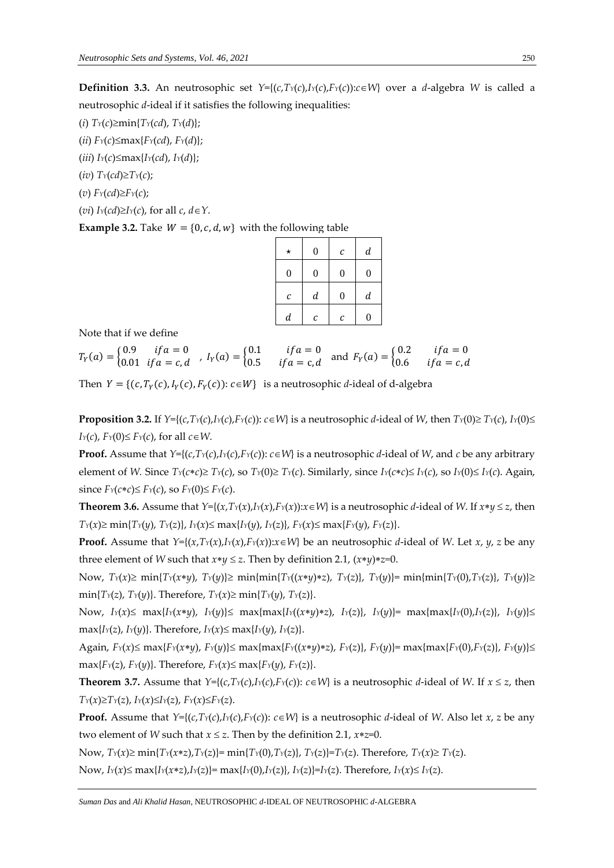**Definition 3.3.** An neutrosophic set  $Y=\{(c,T\vee(c),I\vee(c),F\vee(c)) : c\in W\}$  over a *d*-algebra *W* is called a neutrosophic *d*-ideal if it satisfies the following inequalities:

- $(i)$   $T_Y(c) \geq \min\{T_Y(cd), T_Y(d)\};$
- $(iii)$   $F_Y(c) \leq max{F_Y(cd)}$ ,  $F_Y(d)$ ;
- $(iii)$   $I_Y(c) \leq \max\{I_Y(cd), I_Y(d)\};$
- $(i\bar{v})$   $Tr(cd) \geq Tr(c)$ ;
- $F_Y(cd) \geq F_Y(c)$ ;
- (*vi*)  $I_Y(cd) \geq I_Y(c)$ , for all  $c, d \in Y$ .

**Example 3.2.** Take  $W = \{0, c, d, w\}$  with the following table

| * | $\theta$         | с | $\boldsymbol{d}$ |
|---|------------------|---|------------------|
| 0 | $\boldsymbol{0}$ | 0 | $\boldsymbol{0}$ |
| с | $\boldsymbol{d}$ | 0 | $\boldsymbol{d}$ |
| d | С                | c | 0                |

Note that if we define

 $T_Y(a) = \begin{cases} 0.9 & if a = 0 \\ 0.01 & if a = c, c \end{cases}$ 0.9  $if a = 0$ <br>0.01  $if a = c, d$ ,  $I_Y(a) = \begin{cases} 0.1 & if a = 0 \\ 0.5 & if a = c, d \end{cases}$ 0.1  $if a = 0$  and  $F_Y(a) = \begin{cases} 0.2 & if a = 0 \\ 0.6 & if a = c, d \end{cases}$ 0.6  $if a = c, d$ 

Then  $Y = \{(c, T_Y(c), I_Y(c), F_Y(c)) : c \in W\}$  is a neutrosophic *d*-ideal of d-algebra

**Proposition 3.2.** If  $Y=\{(c,T_Y(c),I_Y(c)); c\in W\}$  is a neutrosophic d-ideal of W, then  $T_Y(0)\geq T_Y(c)$ ,  $I_Y(0)\leq$ *I*<sup> $Y$ </sup>(*c*), *F*<sup> $Y$ </sup>(0)  $\leq$  *F*<sup> $Y$ </sup>(*c*), for all *c* $\in$  *W*.

**Proof.** Assume that  $Y=\{(c,T)(c),I/(c),F/(c)\}$ :  $c \in W\}$  is a neutrosophic *d*-ideal of *W*, and *c* be any arbitrary element of W. Since  $T_Y(c*c) \geq T_Y(c)$ , so  $T_Y(0) \geq T_Y(c)$ . Similarly, since  $I_Y(c*c) \leq I_Y(c)$ , so  $I_Y(0) \leq I_Y(c)$ . Again, since  $F_Y(c*c) \leq F_Y(c)$ , so  $F_Y(0) \leq F_Y(c)$ .

**Theorem 3.6.** Assume that  $Y=\{(x,T)(x),I(x),F(x)):x\in W\}$  is a neutrosophic d-ideal of W. If  $x*y\leq z$ , then  $T_Y(x) \ge \min\{T_Y(y), T_Y(z)\}, I_Y(x) \le \max\{I_Y(y), I_Y(z)\}, F_Y(x) \le \max\{F_Y(y), F_Y(z)\}.$ 

**Proof.** Assume that  $Y=\{(x, T_Y(x), I_Y(x), F_Y(x)) : x \in W\}$  be an neutrosophic *d*-ideal of *W*. Let *x*, *y*, *z* be any three element of *W* such that  $x*y\leq z$ . Then by definition 2.1,  $(x*y)*z=0$ .

Now,  $T_Y(x) \ge \min\{T_Y(x*y), T_Y(y)\}\ge \min\{\min\{T_Y((x*y)*z), T_Y(z)\}, T_Y(y)\} = \min\{\min\{T_Y(0), T_Y(z)\}, T_Y(y)\}\ge \min\{\min\{T_Y(y, T_Y(y))\}, T_Y(y, T_Y(y)) = \min\{\min\{T_Y(y, T_Y(y))\}, T_Y(y, T_Y(y))\}$  $\min\{T_Y(z), T_Y(y)\}.$  Therefore,  $T_Y(x) \geq \min\{T_Y(y), T_Y(z)\}.$ 

Now,  $I_Y(x) \le \max\{I_Y(x*y), I_Y(y)\} \le \max\{\max\{I_Y((x*y)*z), I_Y(z)\}, I_Y(y)\} = \max\{\max\{I_Y(0), I_Y(z)\}, I_Y(y)\} \le \max\{\max\{I_Y(0), I_Y(z)\}, I_Y(y)\}$  $\max\{I_Y(z), I_Y(y)\}.$  Therefore,  $I_Y(x) \leq \max\{I_Y(y), I_Y(z)\}.$ 

Again,  $F_Y(x) \le \max\{F_Y(x*y), F_Y(y)\} \le \max\{\max\{F_Y((x*y)*z), F_Y(z)\}, F_Y(y)\} = \max\{\max\{F_Y(0), F_Y(z)\}, F_Y(y)\} \le \max\{\max\{F_Y(z)\}, F_Y(y)\}$  $\max{F_Y(z)}$ ,  $F_Y(y)$ }. Therefore,  $F_Y(x) \leq \max{F_Y(y)}$ ,  $F_Y(z)$ }.

**Theorem 3.7.** Assume that  $Y=\{(c,T\gamma(c),I\gamma(c),F\gamma(c))\colon c\in W\}$  is a neutrosophic *d*-ideal of W. If  $x \le z$ , then  $T_Y(x) \geq T_Y(z)$ ,  $I_Y(x) \leq I_Y(z)$ ,  $F_Y(x) \leq F_Y(z)$ .

**Proof.** Assume that  $Y=\{(c,T\gamma(c),I\gamma(c),F\gamma(c))\colon c\in W\}$  is a neutrosophic d-ideal of W. Also let x, z be any two element of *W* such that  $x \le z$ . Then by the definition 2.1,  $x \cdot z = 0$ .

Now,  $T_Y(x) \ge \min\{T_Y(x \ast z), T_Y(z)\} = \min\{T_Y(0), T_Y(z)\}, T_Y(z)\} = T_Y(z)$ . Therefore,  $T_Y(x) \ge T_Y(z)$ .

Now,  $I_Y(x) \le \max\{I_Y(x \ast z), I_Y(z)\} = \max\{I_Y(0), I_Y(z)\}, I_Y(z)\} = I_Y(z)$ . Therefore,  $I_Y(x) \le I_Y(z)$ .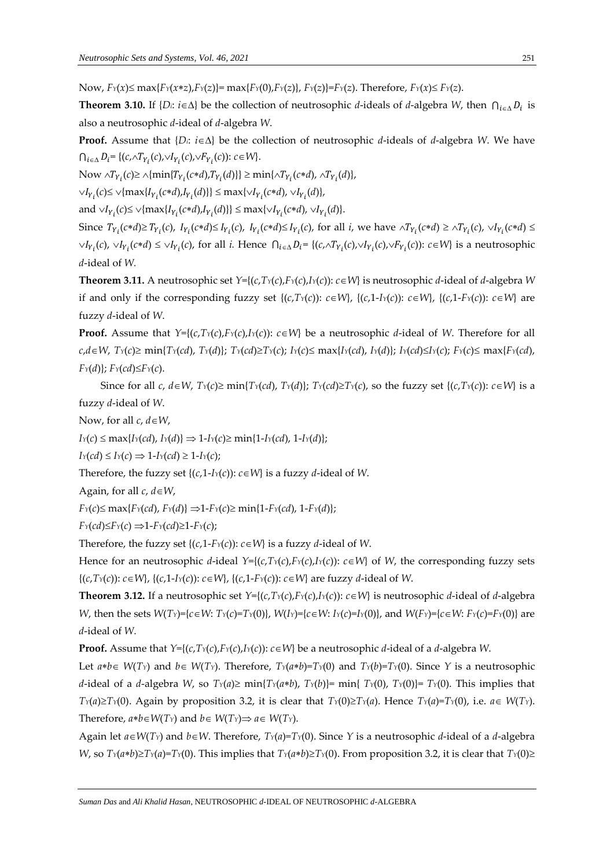Now,  $F_Y(x) \le \max\{F_Y(x * z), F_Y(z)\} = \max\{F_Y(0), F_Y(z)\}, F_Y(z)\} = F_Y(z)$ . Therefore,  $F_Y(x) \le F_Y(z)$ .

**Theorem 3.10.** If  $\{D_i: i \in \Delta\}$  be the collection of neutrosophic *d*-ideals of *d*-algebra *W*, then  $\bigcap_{i \in \Delta} D_i$  is also a neutrosophic *d*-ideal of *d*-algebra *W*.

**Proof.** Assume that  ${D_i: i \in \Delta}$  be the collection of neutrosophic *d*-ideals of *d*-algebra *W*. We have  $\bigcap_{i \in \Delta} D_i = \{ (c, \land T_{Y_i}(c), \lor I_{Y_i}(c), \lor F_{Y_i}(c)) : c \in W \}.$ 

 $\text{Now } \wedge T_{Y_i}(c) \ge \wedge \{\min\{T_{Y_i}(c*d), T_{Y_i}(d)\}\}\ge \min\{\wedge T_{Y_i}(c*d), \wedge T_{Y_i}(d)\},$ 

 $\vee I_{Y_i}(c) \le \vee \{\max\{I_{Y_i}(c*d), I_{Y_i}(d)\}\}\le \max\{\vee I_{Y_i}(c*d), \vee I_{Y_i}(d)\},$ 

 $\text{and} \cup I_{Y_i}(c) \leq \bigcup \{\max\{I_{Y_i}(c*d), I_{Y_i}(d)\}\}\leq \max\{\bigcup_{Y_i}(c*d), \bigcup_{Y_i}(d)\}.$ 

Since  $T_{Y_i}(c*d) \ge T_{Y_i}(c)$ ,  $I_{Y_i}(c*d) \le I_{Y_i}(c)$ ,  $I_{Y_i}(c*d) \le I_{Y_i}(c)$ , for all *i*, we have  $\wedge T_{Y_i}(c*d) \ge \wedge T_{Y_i}(c)$ ,  $\vee I_{Y_i}(c*d) \le T_{Y_i}(c*d)$  $\vee I_{Y_i}(c)$ ,  $\vee I_{Y_i}(c*d) \leq \vee I_{Y_i}(c)$ , for all *i*. Hence  $\bigcap_{i \in \Delta} D_i = \{(c, \wedge T_{Y_i}(c), \vee I_{Y_i}(c)), \vee F_{Y_i}(c)\}$ :  $c \in W\}$  is a neutrosophic *d*-ideal of *W.*

**Theorem 3.11.** A neutrosophic set  $Y = \{(c, T_Y(c), F_Y(c), I_Y(c)) : c \in W\}$  is neutrosophic *d*-ideal of *d*-algebra *W* if and only if the corresponding fuzzy set  $\{(c,T)(c)\}\colon c\in W\}$ ,  $\{(c,1-I)(c)\}\colon c\in W\}$ ,  $\{(c,1-F)(c)\}\colon c\in W\}$  are fuzzy *d*-ideal of *W*.

**Proof.** Assume that  $Y=\{(c,T_Y(c),F_Y(c),F_Y(c))\colon c\in W\}$  be a neutrosophic *d*-ideal of *W*. Therefore for all  $c,d \in W$ ,  $T_Y(c) \ge \min\{T_Y(cd), T_Y(d)\}\$ ;  $T_Y(cd) \ge T_Y(c)$ ;  $I_Y(c) \le \max\{I_Y(cd), I_Y(d)\}\$ ;  $I_Y(cd) \le I_Y(c)$ ;  $F_Y(c) \le \max\{F_Y(cd), F_Y(d) \}$ *FY*(*d*)}; *FY*(*cd*)*FY*(*c*).

Since for all c,  $d \in W$ ,  $T_Y(c) \ge \min\{T_Y(cd), T_Y(d)\}$ ;  $T_Y(cd) \ge T_Y(c)$ , so the fuzzy set  $\{(c,T_Y(c)) : c \in W\}$  is a fuzzy *d*-ideal of *W*.

Now, for all  $c, d \in W$ ,

 $I_Y(c) \leq \max\{I_Y(cd), I_Y(d)\} \Rightarrow 1 - I_Y(c) \geq \min\{1 - I_Y(cd), 1 - I_Y(d)\};$ 

 $I_Y(cd) \leq I_Y(c) \Rightarrow 1-I_Y(cd) \geq 1-I_Y(c)$ ;

Therefore, the fuzzy set  $\{(c,1-Iy(c)) : c \in W\}$  is a fuzzy *d*-ideal of *W*.

Again, for all  $c, d \in W$ ,

 $F_Y(c) \leq \max\{F_Y(cd), F_Y(d)\} \Rightarrow 1 - F_Y(c) \geq \min\{1 - F_Y(cd), 1 - F_Y(d)\};$ 

 $F_Y(cd) \leq F_Y(c) \implies 1 - F_Y(cd) \geq 1 - F_Y(c)$ ;

Therefore, the fuzzy set  $\{(c,1-F*Y*(c)): c \in W\}$  is a fuzzy *d*-ideal of *W*.

Hence for an neutrosophic *d*-ideal  $Y=\{(c,T_Y(c),F_Y(c),I_Y(c)): c\in W\}$  of *W*, the corresponding fuzzy sets {(*c*,*TY*(*c*)): *cW*}, {(*c*,1-*IY*(*c*)): *cW*}, {(*c*,1-*FY*(*c*)): *cW*} are fuzzy *d*-ideal of *W*.

**Theorem 3.12.** If a neutrosophic set  $Y=\{(c,T_Y(c),F_Y(c),I_Y(c)): c\in W\}$  is neutrosophic *d*-ideal of *d*-algebra W, then the sets  $W(T_Y) = \{c \in W: Tx(c) = Tx(0)\}\$ ,  $W(I_Y) = \{c \in W: I_Y(c) = I_Y(0)\}\$ , and  $W(F_Y) = \{c \in W: F_Y(c) = F_Y(0)\}\$  are *d*-ideal of *W*.

**Proof.** Assume that  $Y = \{(c, T_Y(c), F_Y(c), I_Y(c)) : c \in W\}$  be a neutrosophic *d*-ideal of a *d*-algebra *W*.

Let  $a * b \in W(TY)$  and  $b \in W(TY)$ . Therefore,  $T_Y(a * b) = T_Y(0)$  and  $T_Y(b) = T_Y(0)$ . Since Y is a neutrosophic d-ideal of a d-algebra W, so  $T_Y(a) \ge \min\{T_Y(a*b), T_Y(b)\} = \min\{T_Y(0), T_Y(0)\} = T_Y(0)$ . This implies that  $T_Y(a) \geq T_Y(0)$ . Again by proposition 3.2, it is clear that  $T_Y(0) \geq T_Y(a)$ . Hence  $T_Y(a) = T_Y(0)$ , i.e.  $a \in W(T_Y)$ . Therefore,  $a * b \in W(T_Y)$  and  $b \in W(T_Y) \Rightarrow a \in W(T_Y)$ .

Again let  $a \in W(T)$  and  $b \in W$ . Therefore,  $T_Y(a)=T_Y(0)$ . Since *Y* is a neutrosophic *d*-ideal of a *d*-algebra W, so  $T_Y(a*b) \geq T_Y(a) = T_Y(0)$ . This implies that  $T_Y(a*b) \geq T_Y(0)$ . From proposition 3.2, it is clear that  $T_Y(0) \geq$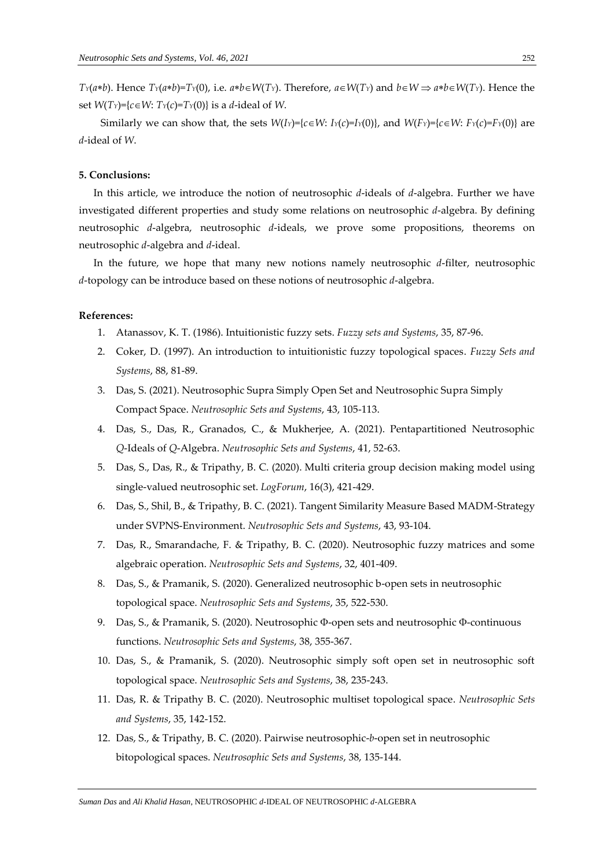$T_Y(a*b)$ . Hence  $T_Y(a*b) = T_Y(0)$ , i.e.  $a*b \in W(T_Y)$ . Therefore,  $a \in W(T_Y)$  and  $b \in W \Rightarrow a*b \in W(T_Y)$ . Hence the set  $W(T_Y) = {c \in W: T_Y(c) = T_Y(0)}$  is a *d*-ideal of *W*.

Similarly we can show that, the sets  $W(I_Y)=\{c\in W: I_Y(c)=I_Y(0)\}\$ , and  $W(F_Y)=\{c\in W: F_Y(c)=F_Y(0)\}\$  are *d*-ideal of *W*.

#### **5. Conclusions:**

In this article, we introduce the notion of neutrosophic *d*-ideals of *d*-algebra. Further we have investigated different properties and study some relations on neutrosophic *d*-algebra. By defining neutrosophic *d*-algebra, neutrosophic *d*-ideals, we prove some propositions, theorems on neutrosophic *d*-algebra and *d*-ideal.

In the future, we hope that many new notions namely neutrosophic *d*-filter, neutrosophic *d*-topology can be introduce based on these notions of neutrosophic *d*-algebra.

#### **References:**

- 1. Atanassov, K. T. (1986). Intuitionistic fuzzy sets. *Fuzzy sets and Systems*, 35, 87-96.
- 2. Coker, D. (1997). An introduction to intuitionistic fuzzy topological spaces. *Fuzzy Sets and Systems*, 88, 81-89.
- 3. Das, S. (2021). Neutrosophic Supra Simply Open Set and Neutrosophic Supra Simply Compact Space. *Neutrosophic Sets and Systems*, 43, 105-113.
- 4. Das, S., Das, R., Granados, C., & Mukherjee, A. (2021). Pentapartitioned Neutrosophic *Q*-Ideals of *Q*-Algebra. *Neutrosophic Sets and Systems*, 41, 52-63.
- 5. Das, S., Das, R., & Tripathy, B. C. (2020). Multi criteria group decision making model using single-valued neutrosophic set. *LogForum*, 16(3), 421-429.
- 6. Das, S., Shil, B., & Tripathy, B. C. (2021). Tangent Similarity Measure Based MADM-Strategy under SVPNS-Environment. *Neutrosophic Sets and Systems*, 43, 93-104.
- 7. Das, R., Smarandache, F. & Tripathy, B. C. (2020). Neutrosophic fuzzy matrices and some algebraic operation. *Neutrosophic Sets and Systems*, 32, 401-409.
- 8. Das, S., & Pramanik, S. (2020). Generalized neutrosophic b-open sets in neutrosophic topological space. *Neutrosophic Sets and Systems*, 35, 522-530.
- 9. Das, S., & Pramanik, S. (2020). Neutrosophic Φ-open sets and neutrosophic Φ-continuous functions. *Neutrosophic Sets and Systems*, 38, 355-367.
- 10. Das, S., & Pramanik, S. (2020). Neutrosophic simply soft open set in neutrosophic soft topological space. *Neutrosophic Sets and Systems*, 38, 235-243.
- 11. Das, R. & Tripathy B. C. (2020). Neutrosophic multiset topological space. *Neutrosophic Sets and Systems*, 35, 142-152.
- 12. Das, S., & Tripathy, B. C. (2020). Pairwise neutrosophic-*b*-open set in neutrosophic bitopological spaces. *Neutrosophic Sets and Systems*, 38, 135-144.